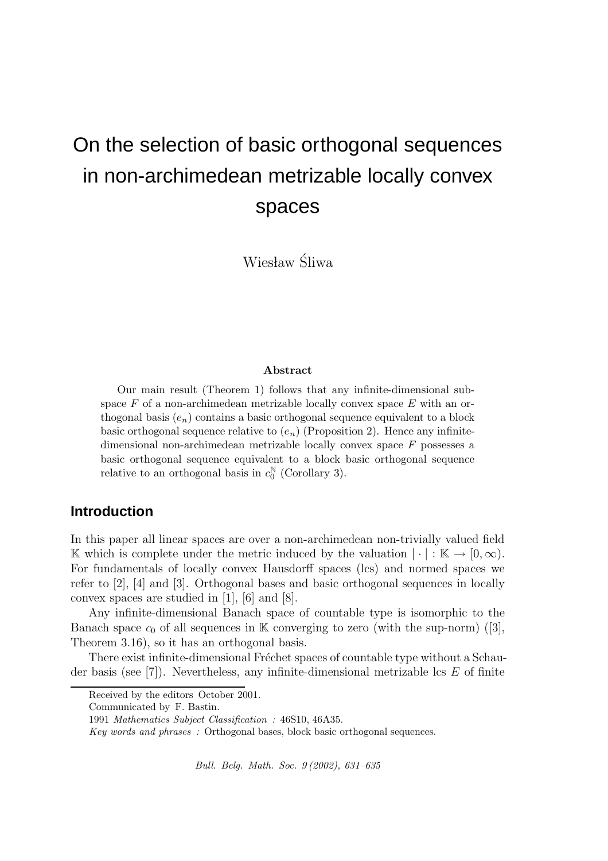# On the selection of basic orthogonal sequences in non-archimedean metrizable locally convex spaces

Wiesław Śliwa

#### Abstract

Our main result (Theorem 1) follows that any infinite-dimensional subspace  $F$  of a non-archimedean metrizable locally convex space  $E$  with an orthogonal basis  $(e_n)$  contains a basic orthogonal sequence equivalent to a block basic orthogonal sequence relative to  $(e_n)$  (Proposition 2). Hence any infinitedimensional non-archimedean metrizable locally convex space F possesses a basic orthogonal sequence equivalent to a block basic orthogonal sequence relative to an orthogonal basis in  $c_0^{\mathbb{N}}$  $_0^{\mathbb{N}}$  (Corollary 3).

### **Introduction**

In this paper all linear spaces are over a non-archimedean non-trivially valued field K which is complete under the metric induced by the valuation  $|\cdot| : K \to [0, \infty)$ . For fundamentals of locally convex Hausdorff spaces (lcs) and normed spaces we refer to [2], [4] and [3]. Orthogonal bases and basic orthogonal sequences in locally convex spaces are studied in [1], [6] and [8].

Any infinite-dimensional Banach space of countable type is isomorphic to the Banach space  $c_0$  of all sequences in K converging to zero (with the sup-norm) ([3], Theorem 3.16), so it has an orthogonal basis.

There exist infinite-dimensional Fréchet spaces of countable type without a Schauder basis (see  $[7]$ ). Nevertheless, any infinite-dimensional metrizable lcs E of finite

Bull. Belg. Math. Soc. 9 (2002), 631–635

Received by the editors October 2001.

Communicated by F. Bastin.

<sup>1991</sup> Mathematics Subject Classification : 46S10, 46A35.

Key words and phrases : Orthogonal bases, block basic orthogonal sequences.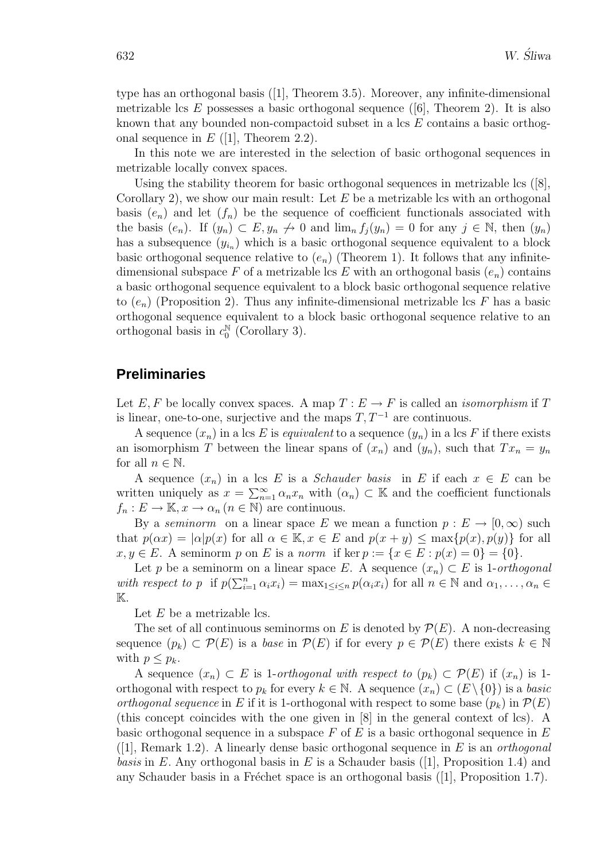type has an orthogonal basis ([1], Theorem 3.5). Moreover, any infinite-dimensional metrizable lcs E possesses a basic orthogonal sequence  $([6]$ , Theorem 2). It is also known that any bounded non-compactoid subset in a lcs E contains a basic orthogonal sequence in  $E$  ([1], Theorem 2.2).

In this note we are interested in the selection of basic orthogonal sequences in metrizable locally convex spaces.

Using the stability theorem for basic orthogonal sequences in metrizable lcs  $([8],$ Corollary 2), we show our main result: Let  $E$  be a metrizable lcs with an orthogonal basis  $(e_n)$  and let  $(f_n)$  be the sequence of coefficient functionals associated with the basis  $(e_n)$ . If  $(y_n) \subset E, y_n \nrightarrow 0$  and  $\lim_{n} f_i(y_n) = 0$  for any  $j \in \mathbb{N}$ , then  $(y_n)$ has a subsequence  $(y_{i_n})$  which is a basic orthogonal sequence equivalent to a block basic orthogonal sequence relative to  $(e_n)$  (Theorem 1). It follows that any infinitedimensional subspace F of a metrizable lcs E with an orthogonal basis  $(e_n)$  contains a basic orthogonal sequence equivalent to a block basic orthogonal sequence relative to  $(e_n)$  (Proposition 2). Thus any infinite-dimensional metrizable lcs F has a basic orthogonal sequence equivalent to a block basic orthogonal sequence relative to an orthogonal basis in  $c_0^{\mathbb{N}}$  $_0^{\mathbb{N}}$  (Corollary 3).

# **Preliminaries**

Let E, F be locally convex spaces. A map  $T : E \to F$  is called an *isomorphism* if T is linear, one-to-one, surjective and the maps  $T, T^{-1}$  are continuous.

A sequence  $(x_n)$  in a lcs E is *equivalent* to a sequence  $(y_n)$  in a lcs F if there exists an isomorphism T between the linear spans of  $(x_n)$  and  $(y_n)$ , such that  $Tx_n = y_n$ for all  $n \in \mathbb{N}$ .

A sequence  $(x_n)$  in a lcs E is a *Schauder basis* in E if each  $x \in E$  can be written uniquely as  $x = \sum_{n=1}^{\infty} \alpha_n x_n$  with  $(\alpha_n) \subset \mathbb{K}$  and the coefficient functionals  $f_n: E \to \mathbb{K}, x \to \alpha_n (n \in \mathbb{N})$  are continuous.

By a seminorm on a linear space E we mean a function  $p: E \to [0, \infty)$  such that  $p(\alpha x) = |\alpha| p(x)$  for all  $\alpha \in \mathbb{K}$ ,  $x \in E$  and  $p(x + y) \leq \max\{p(x), p(y)\}\$ for all  $x, y \in E$ . A seminorm p on E is a norm if ker  $p := \{x \in E : p(x) = 0\} = \{0\}.$ 

Let p be a seminorm on a linear space E. A sequence  $(x_n) \subset E$  is 1-orthogonal with respect to p if  $p(\sum_{i=1}^n \alpha_i x_i) = \max_{1 \leq i \leq n} p(\alpha_i x_i)$  for all  $n \in \mathbb{N}$  and  $\alpha_1, \ldots, \alpha_n \in$  $\mathbb K$ .

Let  $E$  be a metrizable lcs.

The set of all continuous seminorms on E is denoted by  $\mathcal{P}(E)$ . A non-decreasing sequence  $(p_k) \subset \mathcal{P}(E)$  is a base in  $\mathcal{P}(E)$  if for every  $p \in \mathcal{P}(E)$  there exists  $k \in \mathbb{N}$ with  $p \leq p_k$ .

A sequence  $(x_n) \subset E$  is 1-orthogonal with respect to  $(p_k) \subset \mathcal{P}(E)$  if  $(x_n)$  is 1orthogonal with respect to  $p_k$  for every  $k \in \mathbb{N}$ . A sequence  $(x_n) \subset (E \setminus \{0\})$  is a basic orthogonal sequence in E if it is 1-orthogonal with respect to some base  $(p_k)$  in  $\mathcal{P}(E)$ (this concept coincides with the one given in [8] in the general context of lcs). A basic orthogonal sequence in a subspace  $F$  of  $E$  is a basic orthogonal sequence in  $E$  $([1],$  Remark 1.2). A linearly dense basic orthogonal sequence in E is an *orthogonal basis* in E. Any orthogonal basis in E is a Schauder basis ([1], Proposition 1.4) and any Schauder basis in a Fréchet space is an orthogonal basis  $([1],$  Proposition 1.7).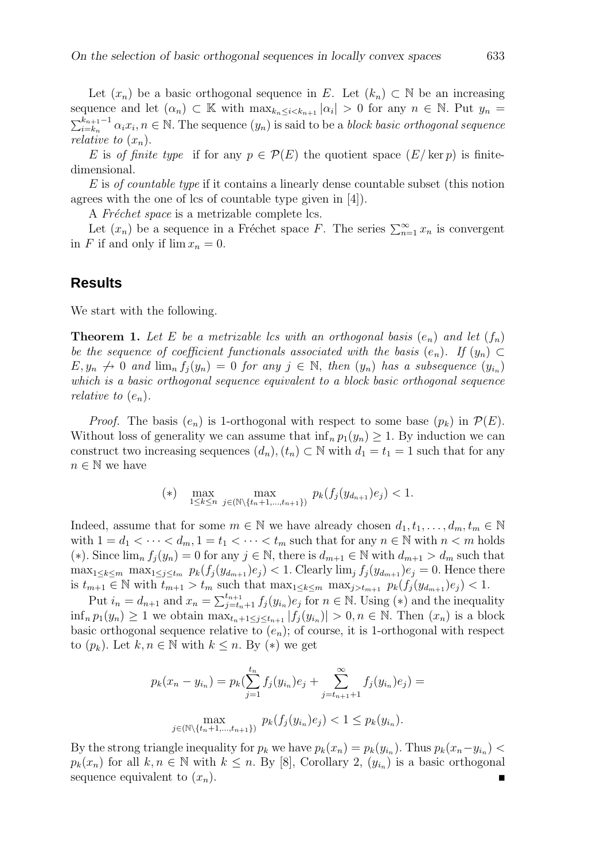Let  $(x_n)$  be a basic orthogonal sequence in E. Let  $(k_n) \subset \mathbb{N}$  be an increasing sequence and let  $(\alpha_n) \subset \mathbb{K}$  with  $\max_{k_n \leq i < k_{n+1}} |\alpha_i| > 0$  for any  $n \in \mathbb{N}$ . Put  $y_n =$  $\sum_{i=k_n}^{k_{n+1}-1} \alpha_i x_i, n \in \mathbb{N}$ . The sequence  $(y_n)$  is said to be a *block basic orthogonal sequence* relative to  $(x_n)$ .

E is of finite type if for any  $p \in \mathcal{P}(E)$  the quotient space  $(E/\ker p)$  is finitedimensional.

E is of countable type if it contains a linearly dense countable subset (this notion agrees with the one of lcs of countable type given in [4]).

A Fréchet space is a metrizable complete lcs.

Let  $(x_n)$  be a sequence in a Fréchet space F. The series  $\sum_{n=1}^{\infty} x_n$  is convergent in F if and only if  $\lim x_n = 0$ .

# **Results**

We start with the following.

**Theorem 1.** Let E be a metrizable lcs with an orthogonal basis  $(e_n)$  and let  $(f_n)$ be the sequence of coefficient functionals associated with the basis  $(e_n)$ . If  $(y_n) \subset$  $E, y_n \nightharpoonup 0$  and  $\lim_{n} f_j(y_n) = 0$  for any  $j \in \mathbb{N}$ , then  $(y_n)$  has a subsequence  $(y_{i_n})$ which is a basic orthogonal sequence equivalent to a block basic orthogonal sequence relative to  $(e_n)$ .

*Proof.* The basis  $(e_n)$  is 1-orthogonal with respect to some base  $(p_k)$  in  $\mathcal{P}(E)$ . Without loss of generality we can assume that  $\inf_n p_1(y_n) \geq 1$ . By induction we can construct two increasing sequences  $(d_n)$ ,  $(t_n) \subset \mathbb{N}$  with  $d_1 = t_1 = 1$  such that for any  $n \in \mathbb{N}$  we have

(\*) 
$$
\max_{1 \leq k \leq n} \max_{j \in (\mathbb{N} \setminus \{t_n + 1, \dots, t_{n+1}\})} p_k(f_j(y_{d_{n+1}}) e_j) < 1.
$$

Indeed, assume that for some  $m \in \mathbb{N}$  we have already chosen  $d_1, t_1, \ldots, d_m, t_m \in \mathbb{N}$ with  $1 = d_1 < \cdots < d_m$ ,  $1 = t_1 < \cdots < t_m$  such that for any  $n \in \mathbb{N}$  with  $n < m$  holds (\*). Since  $\lim_{n} f_i(y_n) = 0$  for any  $j \in \mathbb{N}$ , there is  $d_{m+1} \in \mathbb{N}$  with  $d_{m+1} > d_m$  such that  $\max_{1 \leq k \leq m} \max_{1 \leq j \leq t_m} p_k(f_j(y_{d_{m+1}})e_j) < 1$ . Clearly  $\lim_j f_j(y_{d_{m+1}})e_j = 0$ . Hence there is  $t_{m+1} \in \mathbb{N}$  with  $t_{m+1} > t_m$  such that  $\max_{1 \leq k \leq m} \max_{j \geq t_{m+1}} p_k(f_j(y_{d_{m+1}})e_j) < 1$ .

Put  $i_n = d_{n+1}$  and  $x_n = \sum_{j=t_n+1}^{t_{n+1}} f_j(y_{i_n}) e_j$  for  $n \in \mathbb{N}$ . Using (\*) and the inequality  $\inf_n p_1(y_n) \geq 1$  we obtain  $\max_{t_n+1 \leq j \leq t_{n+1}} |f_j(y_{i_n})| > 0, n \in \mathbb{N}$ . Then  $(x_n)$  is a block basic orthogonal sequence relative to  $(e_n)$ ; of course, it is 1-orthogonal with respect to  $(p_k)$ . Let  $k, n \in \mathbb{N}$  with  $k \leq n$ . By  $(*)$  we get

$$
p_k(x_n - y_{i_n}) = p_k(\sum_{j=1}^{t_n} f_j(y_{i_n})e_j + \sum_{j=t_{n+1}+1}^{\infty} f_j(y_{i_n})e_j) =
$$
  

$$
\max_{j \in (\mathbb{N} \setminus \{t_n+1, \dots, t_{n+1}\})} p_k(f_j(y_{i_n})e_j) < 1 \le p_k(y_{i_n}).
$$

By the strong triangle inequality for  $p_k$  we have  $p_k(x_n) = p_k(y_{i_n})$ . Thus  $p_k(x_n - y_{i_n})$  $p_k(x_n)$  for all  $k, n \in \mathbb{N}$  with  $k \leq n$ . By [8], Corollary 2,  $(y_{i_n})$  is a basic orthogonal sequence equivalent to  $(x_n)$ .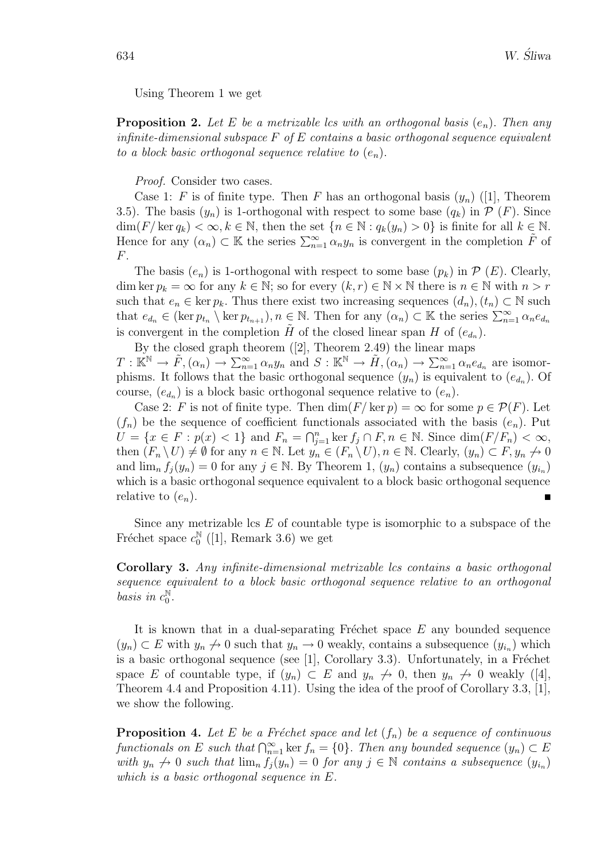Using Theorem 1 we get

**Proposition 2.** Let E be a metrizable lcs with an orthogonal basis  $(e_n)$ . Then any infinite-dimensional subspace  $F$  of  $E$  contains a basic orthogonal sequence equivalent to a block basic orthogonal sequence relative to  $(e_n)$ .

Proof. Consider two cases.

Case 1: F is of finite type. Then F has an orthogonal basis  $(y_n)$  ([1], Theorem 3.5). The basis  $(y_n)$  is 1-orthogonal with respect to some base  $(q_k)$  in  $P(F)$ . Since  $\dim(F/\ker q_k) < \infty, k \in \mathbb{N}$ , then the set  $\{n \in \mathbb{N} : q_k(y_n) > 0\}$  is finite for all  $k \in \mathbb{N}$ . Hence for any  $(\alpha_n) \subset \mathbb{K}$  the series  $\sum_{n=1}^{\infty} \alpha_n y_n$  is convergent in the completion  $\tilde{F}$  of F.

The basis  $(e_n)$  is 1-orthogonal with respect to some base  $(p_k)$  in  $\mathcal{P}(E)$ . Clearly, dim ker  $p_k = \infty$  for any  $k \in \mathbb{N}$ ; so for every  $(k, r) \in \mathbb{N} \times \mathbb{N}$  there is  $n \in \mathbb{N}$  with  $n > r$ such that  $e_n \in \text{ker } p_k$ . Thus there exist two increasing sequences  $(d_n)$ ,  $(t_n) \subset \mathbb{N}$  such that  $e_{d_n} \in (\ker p_{t_n} \setminus \ker p_{t_{n+1}}), n \in \mathbb{N}$ . Then for any  $(\alpha_n) \subset \mathbb{K}$  the series  $\sum_{n=1}^{\infty} \alpha_n e_{d_n}$ is convergent in the completion  $\tilde{H}$  of the closed linear span H of  $(e_{d_n})$ .

By the closed graph theorem ([2], Theorem 2.49) the linear maps  $T: \mathbb{K}^{\mathbb{N}} \to \tilde{F}, (\alpha_n) \to \sum_{n=1}^{\infty} \alpha_n y_n$  and  $S: \mathbb{K}^{\mathbb{N}} \to \tilde{H}, (\alpha_n) \to \sum_{n=1}^{\infty} \alpha_n e_{d_n}$  are isomorphisms. It follows that the basic orthogonal sequence  $(y_n)$  is equivalent to  $(e_{d_n})$ . Of course,  $(e_{d_n})$  is a block basic orthogonal sequence relative to  $(e_n)$ .

Case 2: F is not of finite type. Then  $\dim(F/\ker p) = \infty$  for some  $p \in \mathcal{P}(F)$ . Let  $(f_n)$  be the sequence of coefficient functionals associated with the basis  $(e_n)$ . Put  $U = \{x \in F : p(x) < 1\}$  and  $F_n = \bigcap_{j=1}^n \ker f_j \cap F, n \in \mathbb{N}$ . Since  $\dim(F/F_n) < \infty$ , then  $(F_n \setminus U) \neq \emptyset$  for any  $n \in \mathbb{N}$ . Let  $y_n \in (F_n \setminus U), n \in \mathbb{N}$ . Clearly,  $(y_n) \subset F, y_n \neq 0$ and  $\lim_{n} f_j(y_n) = 0$  for any  $j \in \mathbb{N}$ . By Theorem 1,  $(y_n)$  contains a subsequence  $(y_{i_n})$ which is a basic orthogonal sequence equivalent to a block basic orthogonal sequence relative to  $(e_n)$ .

Since any metrizable  $\text{cs } E$  of countable type is isomorphic to a subspace of the Fréchet space  $c_0^{\mathbb{N}}$  $_0^{\mathbb{N}}$  ([1], Remark 3.6) we get

Corollary 3. Any infinite-dimensional metrizable lcs contains a basic orthogonal sequence equivalent to a block basic orthogonal sequence relative to an orthogonal basis in  $c_0^{\mathbb{N}}$  $\mathbb{N}_0^{\mathbb{N}}$ 

It is known that in a dual-separating Fréchet space  $E$  any bounded sequence  $(y_n) \subset E$  with  $y_n \nightharpoonup 0$  such that  $y_n \to 0$  weakly, contains a subsequence  $(y_{i_n})$  which is a basic orthogonal sequence (see  $[1]$ , Corollary 3.3). Unfortunately, in a Fréchet space E of countable type, if  $(y_n) \subset E$  and  $y_n \nrightarrow 0$ , then  $y_n \nrightarrow 0$  weakly ([4], Theorem 4.4 and Proposition 4.11). Using the idea of the proof of Corollary 3.3, [1], we show the following.

**Proposition 4.** Let E be a Fréchet space and let  $(f_n)$  be a sequence of continuous functionals on E such that  $\bigcap_{n=1}^{\infty}$  ker  $f_n = \{0\}$ . Then any bounded sequence  $(y_n) \subset E$ with  $y_n \nightharpoonup 0$  such that  $\lim_n f_j(y_n) = 0$  for any  $j \in \mathbb{N}$  contains a subsequence  $(y_{i_n})$ which is a basic orthogonal sequence in E.